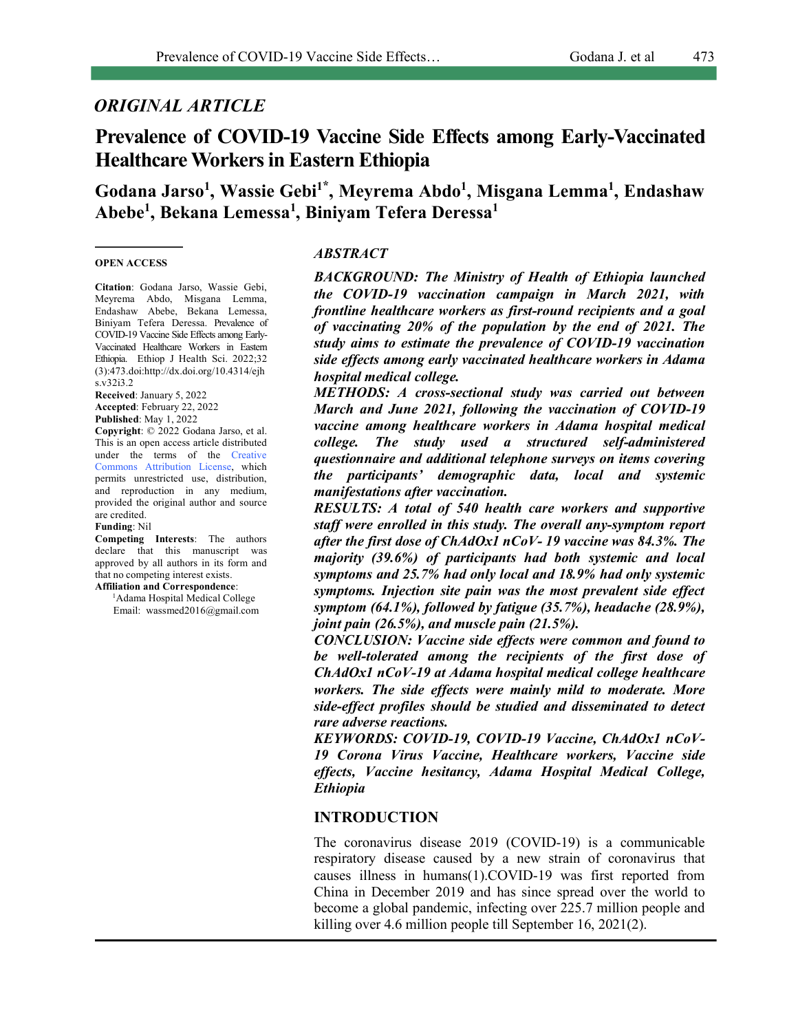## *ORIGINAL ARTICLE*

# **Prevalence of COVID-19 Vaccine Side Effects among Early-Vaccinated Healthcare Workers in Eastern Ethiopia**

# **Godana Jarso1 , Wassie Gebi1\* , Meyrema Abdo1 , Misgana Lemma1 , Endashaw Abebe1 , Bekana Lemessa1 , Biniyam Tefera Deressa1**

#### **OPEN ACCESS**

**Citation**: Godana Jarso, Wassie Gebi, Meyrema Abdo, Misgana Lemma, Endashaw Abebe, Bekana Lemessa, Biniyam Tefera Deressa. Prevalence of COVID-19 Vaccine Side Effects among Early-Vaccinated Healthcare Workers in Eastern Ethiopia. Ethiop J Health Sci. 2022;32 (3):473.doi:http://dx.doi.org/10.4314/ejh s.v32i3.2

**Received**: January 5, 2022 **Accepted**: February 22, 2022 **Published**: May 1, 2022

**Copyright**: © 2022 Godana Jarso, et al. This is an open access article distributed under the terms of the Creative Commons Attribution License, which permits unrestricted use, distribution, and reproduction in any medium, provided the original author and source are credited.

#### **Funding**: Nil

**Competing Interests**: The authors declare that this manuscript was approved by all authors in its form and that no competing interest exists. **Affiliation and Correspondence**:

#### <sup>1</sup> Adama Hospital Medical College

Email: wassmed2016@gmail.com

#### *ABSTRACT*

*BACKGROUND: The Ministry of Health of Ethiopia launched the COVID-19 vaccination campaign in March 2021, with frontline healthcare workers as first-round recipients and a goal of vaccinating 20% of the population by the end of 2021. The study aims to estimate the prevalence of COVID-19 vaccination side effects among early vaccinated healthcare workers in Adama hospital medical college.*

*METHODS: A cross-sectional study was carried out between March and June 2021, following the vaccination of COVID-19 vaccine among healthcare workers in Adama hospital medical college. The study used a structured self-administered questionnaire and additional telephone surveys on items covering the participants' demographic data, local and systemic manifestations after vaccination.*

*RESULTS: A total of 540 health care workers and supportive staff were enrolled in this study. The overall any-symptom report after the first dose of ChAdOx1 nCoV- 19 vaccine was 84.3%. The majority (39.6%) of participants had both systemic and local symptoms and 25.7% had only local and 18.9% had only systemic symptoms. Injection site pain was the most prevalent side effect symptom (64.1%), followed by fatigue (35.7%), headache (28.9%), joint pain (26.5%), and muscle pain (21.5%).*

*CONCLUSION: Vaccine side effects were common and found to be well-tolerated among the recipients of the first dose of ChAdOx1 nCoV-19 at Adama hospital medical college healthcare workers. The side effects were mainly mild to moderate. More side-effect profiles should be studied and disseminated to detect rare adverse reactions.*

*KEYWORDS: COVID-19, COVID-19 Vaccine, ChAdOx1 nCoV-19 Corona Virus Vaccine, Healthcare workers, Vaccine side effects, Vaccine hesitancy, Adama Hospital Medical College, Ethiopia*

#### **INTRODUCTION**

The coronavirus disease 2019 (COVID-19) is a communicable respiratory disease caused by a new strain of coronavirus that causes illness in humans(1).COVID-19 was first reported from China in December 2019 and has since spread over the world to become a global pandemic, infecting over 225.7 million people and killing over 4.6 million people till September 16, 2021(2).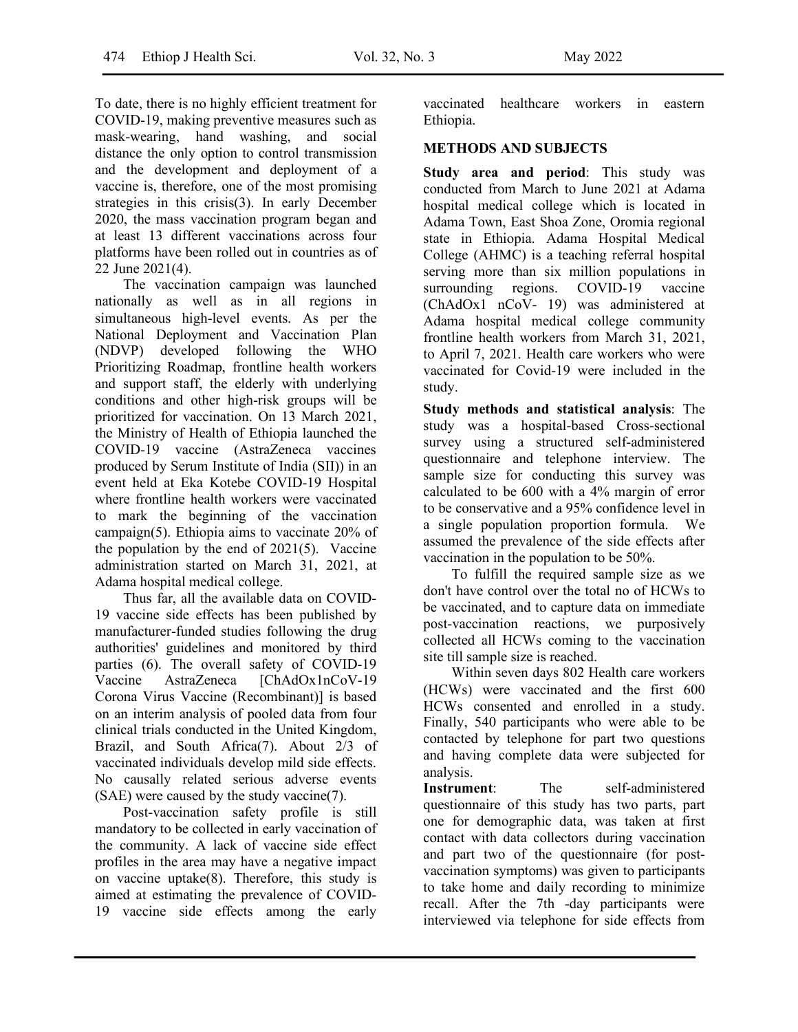To date, there is no highly efficient treatment for COVID-19, making preventive measures such as mask-wearing, hand washing, and social distance the only option to control transmission and the development and deployment of a vaccine is, therefore, one of the most promising strategies in this crisis(3). In early December 2020, the mass vaccination program began and at least 13 different vaccinations across four platforms have been rolled out in countries as of 22 June 2021(4).

The vaccination campaign was launched nationally as well as in all regions in simultaneous high-level events. As per the National Deployment and Vaccination Plan (NDVP) developed following the WHO Prioritizing Roadmap, frontline health workers and support staff, the elderly with underlying conditions and other high-risk groups will be prioritized for vaccination. On 13 March 2021, the Ministry of Health of Ethiopia launched the COVID-19 vaccine (AstraZeneca vaccines produced by Serum Institute of India (SII)) in an event held at Eka Kotebe COVID-19 Hospital where frontline health workers were vaccinated to mark the beginning of the vaccination campaign(5). Ethiopia aims to vaccinate 20% of the population by the end of 2021(5). Vaccine administration started on March 31, 2021, at Adama hospital medical college.

Thus far, all the available data on COVID-19 vaccine side effects has been published by manufacturer-funded studies following the drug authorities' guidelines and monitored by third parties (6). The overall safety of COVID-19 Vaccine AstraZeneca [ChAdOx1nCoV-19 Corona Virus Vaccine (Recombinant)] is based on an interim analysis of pooled data from four clinical trials conducted in the United Kingdom, Brazil, and South Africa(7). About 2/3 of vaccinated individuals develop mild side effects. No causally related serious adverse events (SAE) were caused by the study vaccine(7).

Post-vaccination safety profile is still mandatory to be collected in early vaccination of the community. A lack of vaccine side effect profiles in the area may have a negative impact on vaccine uptake(8). Therefore, this study is aimed at estimating the prevalence of COVID-19 vaccine side effects among the early vaccinated healthcare workers in eastern Ethiopia.

#### **METHODS AND SUBJECTS**

**Study area and period**: This study was conducted from March to June 2021 at Adama hospital medical college which is located in Adama Town, East Shoa Zone, Oromia regional state in Ethiopia. Adama Hospital Medical College (AHMC) is a teaching referral hospital serving more than six million populations in surrounding regions. COVID-19 vaccine (ChAdOx1 nCoV- 19) was administered at Adama hospital medical college community frontline health workers from March 31, 2021, to April 7, 2021. Health care workers who were vaccinated for Covid-19 were included in the study.

**Study methods and statistical analysis**: The study was a hospital-based Cross-sectional survey using a structured self-administered questionnaire and telephone interview. The sample size for conducting this survey was calculated to be 600 with a 4% margin of error to be conservative and a 95% confidence level in a single population proportion formula. We assumed the prevalence of the side effects after vaccination in the population to be 50%.

To fulfill the required sample size as we don't have control over the total no of HCWs to be vaccinated, and to capture data on immediate post-vaccination reactions, we purposively collected all HCWs coming to the vaccination site till sample size is reached.

Within seven days 802 Health care workers (HCWs) were vaccinated and the first 600 HCWs consented and enrolled in a study. Finally, 540 participants who were able to be contacted by telephone for part two questions and having complete data were subjected for analysis.

**Instrument**: The self-administered questionnaire of this study has two parts, part one for demographic data, was taken at first contact with data collectors during vaccination and part two of the questionnaire (for postvaccination symptoms) was given to participants to take home and daily recording to minimize recall. After the 7th -day participants were interviewed via telephone for side effects from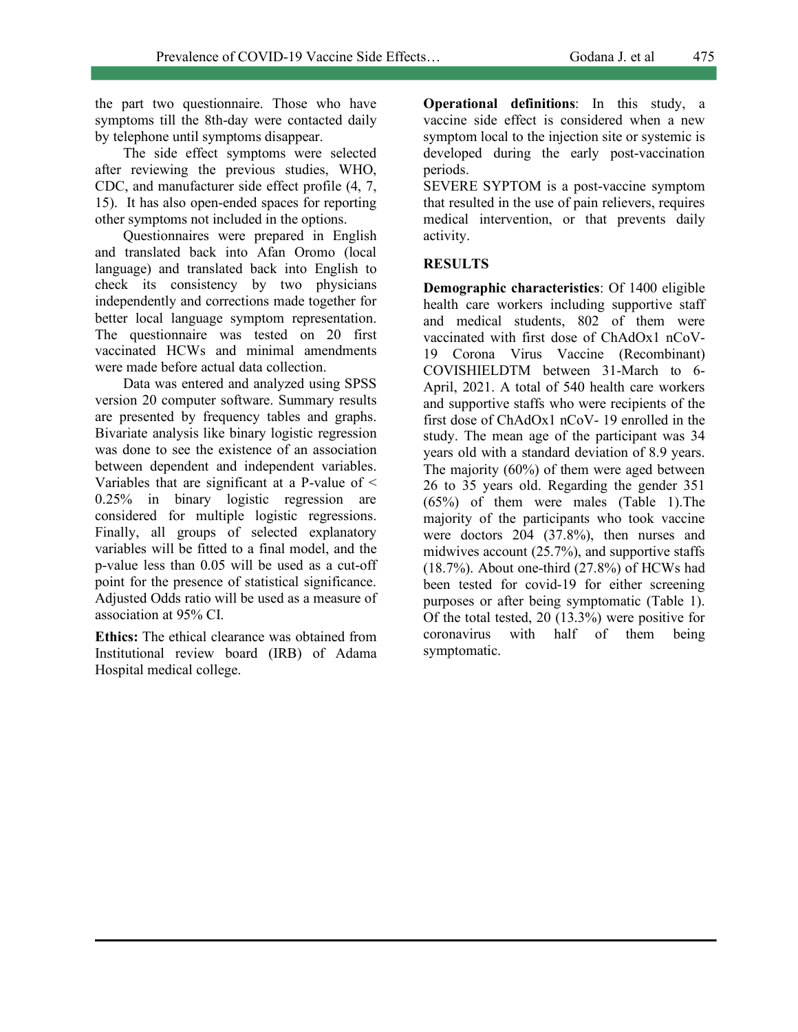the part two questionnaire. Those who have symptoms till the 8th-day were contacted daily by telephone until symptoms disappear.

The side effect symptoms were selected after reviewing the previous studies, WHO, CDC, and manufacturer side effect profile (4, 7, 15). It has also open-ended spaces for reporting other symptoms not included in the options.

Questionnaires were prepared in English and translated back into Afan Oromo (local language) and translated back into English to check its consistency by two physicians independently and corrections made together for better local language symptom representation. The questionnaire was tested on 20 first vaccinated HCWs and minimal amendments were made before actual data collection.

Data was entered and analyzed using SPSS version 20 computer software. Summary results are presented by frequency tables and graphs. Bivariate analysis like binary logistic regression was done to see the existence of an association between dependent and independent variables. Variables that are significant at a P-value of < 0.25% in binary logistic regression are considered for multiple logistic regressions. Finally, all groups of selected explanatory variables will be fitted to a final model, and the p-value less than 0.05 will be used as a cut-off point for the presence of statistical significance. Adjusted Odds ratio will be used as a measure of association at 95% CI.

**Ethics:** The ethical clearance was obtained from Institutional review board (IRB) of Adama Hospital medical college.

**Operational definitions**: In this study, a vaccine side effect is considered when a new symptom local to the injection site or systemic is developed during the early post-vaccination periods.

SEVERE SYPTOM is a post-vaccine symptom that resulted in the use of pain relievers, requires medical intervention, or that prevents daily activity.

### **RESULTS**

**Demographic characteristics**: Of 1400 eligible health care workers including supportive staff and medical students, 802 of them were vaccinated with first dose of ChAdOx1 nCoV-19 Corona Virus Vaccine (Recombinant) COVISHIELDTM between 31-March to 6- April, 2021. A total of 540 health care workers and supportive staffs who were recipients of the first dose of ChAdOx1 nCoV- 19 enrolled in the study. The mean age of the participant was 34 years old with a standard deviation of 8.9 years. The majority (60%) of them were aged between 26 to 35 years old. Regarding the gender 351 (65%) of them were males (Table 1).The majority of the participants who took vaccine were doctors 204 (37.8%), then nurses and midwives account (25.7%), and supportive staffs (18.7%). About one-third (27.8%) of HCWs had been tested for covid-19 for either screening purposes or after being symptomatic (Table 1). Of the total tested, 20 (13.3%) were positive for coronavirus with half of them being symptomatic.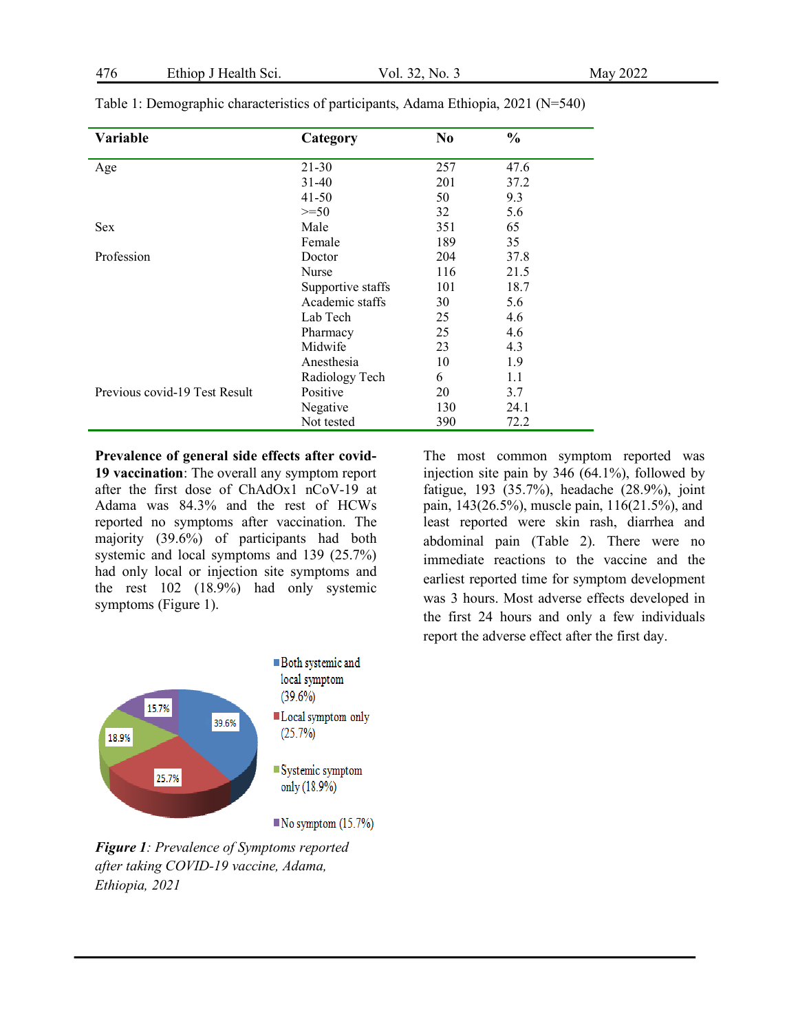476 Ethiop J Health Sci. Vol. 32, No. 3 May 2022

| Variable                      | Category          | N <sub>0</sub> | $\frac{0}{0}$ |  |
|-------------------------------|-------------------|----------------|---------------|--|
| Age                           | 21-30             | 257            | 47.6          |  |
|                               | $31 - 40$         | 201            | 37.2          |  |
|                               | 41-50             | 50             | 9.3           |  |
|                               | $>=$ 50           | 32             | 5.6           |  |
| <b>Sex</b>                    | Male              | 351            | 65            |  |
|                               | Female            | 189            | 35            |  |
| Profession                    | Doctor            | 204            | 37.8          |  |
|                               | Nurse             | 116            | 21.5          |  |
|                               | Supportive staffs | 101            | 18.7          |  |
|                               | Academic staffs   | 30             | 5.6           |  |
|                               | Lab Tech          | 25             | 4.6           |  |
|                               | Pharmacy          | 25             | 4.6           |  |
|                               | Midwife           | 23             | 4.3           |  |
|                               | Anesthesia        | 10             | 1.9           |  |
|                               | Radiology Tech    | 6              | 1.1           |  |
| Previous covid-19 Test Result | Positive          | 20             | 3.7           |  |
|                               | Negative          | 130            | 24.1          |  |
|                               | Not tested        | 390            | 72.2          |  |

Table 1: Demographic characteristics of participants, Adama Ethiopia, 2021 (N=540)

**Prevalence of general side effects after covid-19 vaccination**: The overall any symptom report after the first dose of ChAdOx1 nCoV-19 at Adama was 84.3% and the rest of HCWs reported no symptoms after vaccination. The majority (39.6%) of participants had both systemic and local symptoms and 139 (25.7%) had only local or injection site symptoms and the rest 102 (18.9%) had only systemic symptoms (Figure 1).

The most common symptom reported was injection site pain by 346 (64.1%), followed by fatigue, 193 (35.7%), headache (28.9%), joint pain, 143(26.5%), muscle pain, 116(21.5%), and least reported were skin rash, diarrhea and abdominal pain (Table 2). There were no immediate reactions to the vaccine and the earliest reported time for symptom development was 3 hours. Most adverse effects developed in the first 24 hours and only a few individuals report the adverse effect after the first day.



*Figure 1: Prevalence of Symptoms reported after taking COVID-19 vaccine, Adama, Ethiopia, 2021*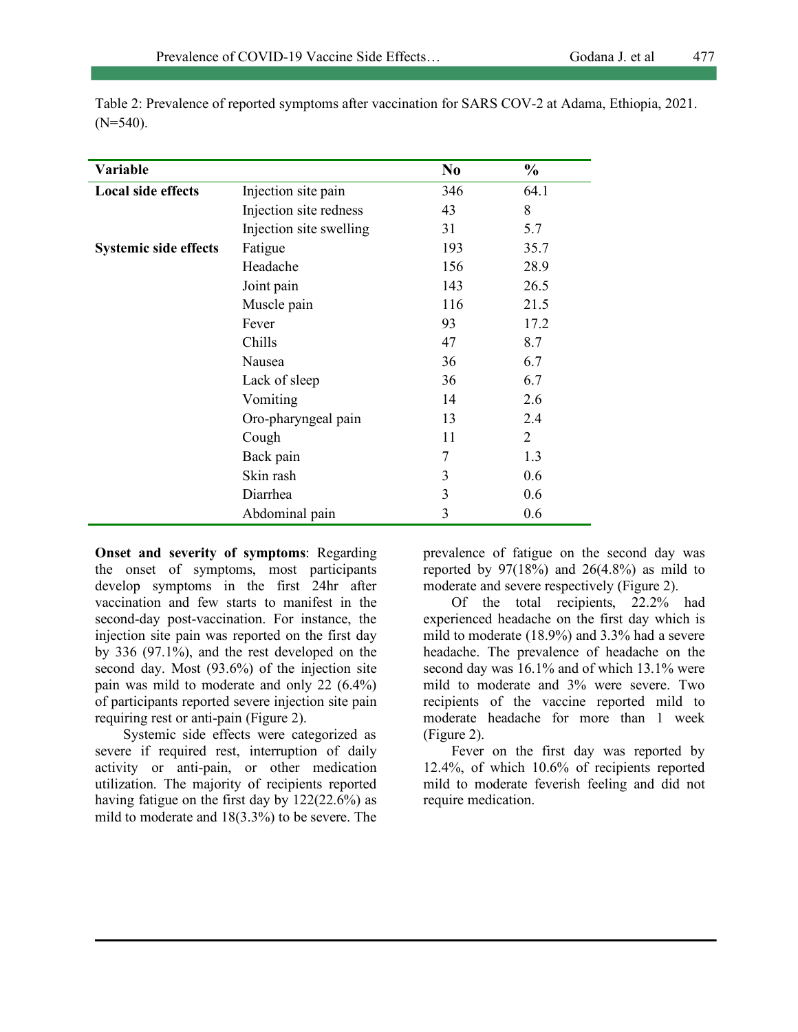| <b>Variable</b>           |                         | N <sub>0</sub> | $\frac{0}{0}$ |
|---------------------------|-------------------------|----------------|---------------|
| <b>Local side effects</b> | Injection site pain     | 346            | 64.1          |
|                           | Injection site redness  | 43             | 8             |
|                           | Injection site swelling | 31             | 5.7           |
| Systemic side effects     | Fatigue                 | 193            | 35.7          |
|                           | Headache                | 156            | 28.9          |
|                           | Joint pain              | 143            | 26.5          |
|                           | Muscle pain             | 116            | 21.5          |
|                           | Fever                   | 93             | 17.2          |
|                           | Chills                  | 47             | 8.7           |
|                           | Nausea                  | 36             | 6.7           |
|                           | Lack of sleep           | 36             | 6.7           |
|                           | Vomiting                | 14             | 2.6           |
|                           | Oro-pharyngeal pain     | 13             | 2.4           |
|                           | Cough                   | 11             | 2             |
|                           | Back pain               | 7              | 1.3           |
|                           | Skin rash               | 3              | 0.6           |
|                           | Diarrhea                | 3              | 0.6           |
|                           | Abdominal pain          | 3              | 0.6           |

Table 2: Prevalence of reported symptoms after vaccination for SARS COV-2 at Adama, Ethiopia, 2021.  $(N=540)$ .

**Onset and severity of symptoms**: Regarding the onset of symptoms, most participants develop symptoms in the first 24hr after vaccination and few starts to manifest in the second-day post-vaccination. For instance, the injection site pain was reported on the first day by 336 (97.1%), and the rest developed on the second day. Most (93.6%) of the injection site pain was mild to moderate and only 22 (6.4%) of participants reported severe injection site pain requiring rest or anti-pain (Figure 2).

Systemic side effects were categorized as severe if required rest, interruption of daily activity or anti-pain, or other medication utilization. The majority of recipients reported having fatigue on the first day by 122(22.6%) as mild to moderate and 18(3.3%) to be severe. The prevalence of fatigue on the second day was reported by  $97(18%)$  and  $26(4.8%)$  as mild to moderate and severe respectively (Figure 2).

Of the total recipients, 22.2% had experienced headache on the first day which is mild to moderate (18.9%) and 3.3% had a severe headache. The prevalence of headache on the second day was 16.1% and of which 13.1% were mild to moderate and 3% were severe. Two recipients of the vaccine reported mild to moderate headache for more than 1 week (Figure 2).

Fever on the first day was reported by 12.4%, of which 10.6% of recipients reported mild to moderate feverish feeling and did not require medication.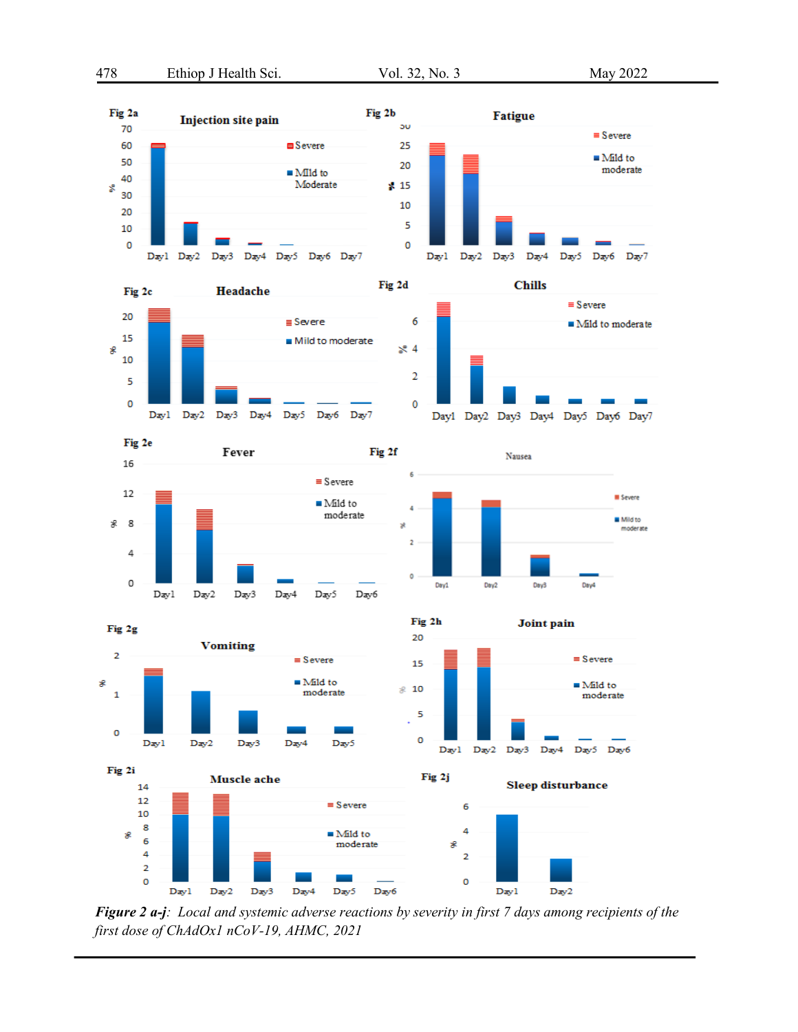









Nausea



*Figure 2 a-j: Local and systemic adverse reactions by severity in first 7 days among recipients of the first dose of ChAdOx1 nCoV-19, AHMC, 2021*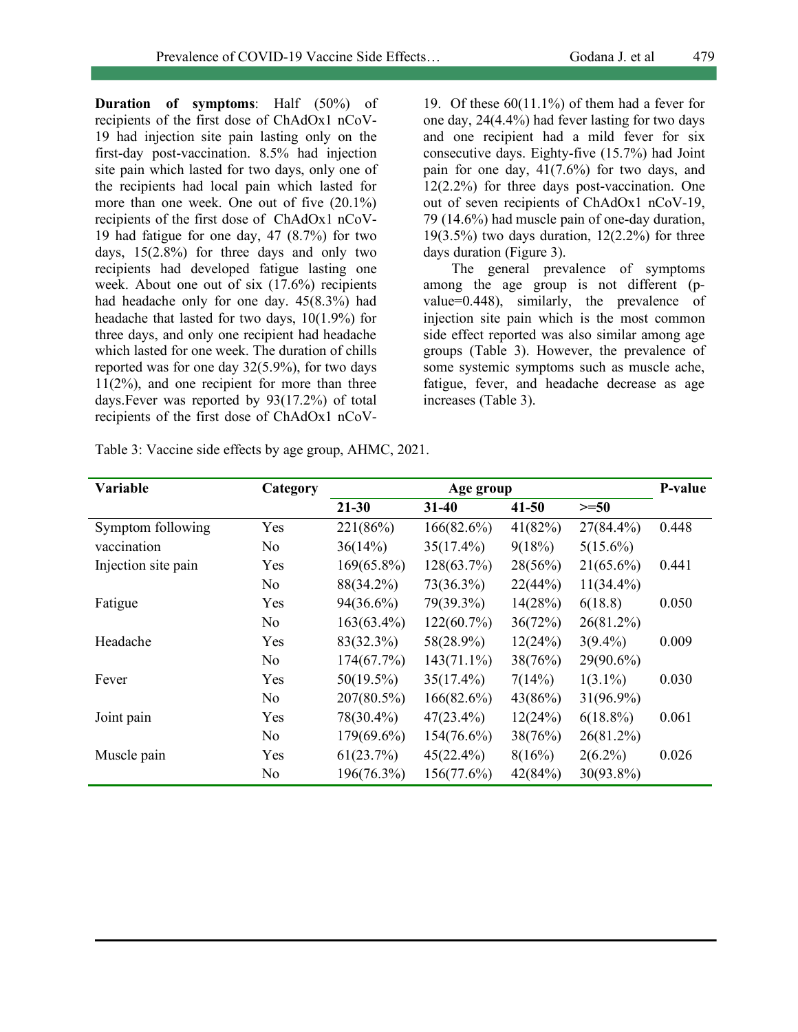**Duration of symptoms**: Half (50%) of recipients of the first dose of ChAdOx1 nCoV-19 had injection site pain lasting only on the first-day post-vaccination. 8.5% had injection site pain which lasted for two days, only one of the recipients had local pain which lasted for more than one week. One out of five (20.1%) recipients of the first dose of ChAdOx1 nCoV-19 had fatigue for one day, 47 (8.7%) for two days, 15(2.8%) for three days and only two recipients had developed fatigue lasting one week. About one out of six (17.6%) recipients had headache only for one day. 45(8.3%) had headache that lasted for two days, 10(1.9%) for three days, and only one recipient had headache which lasted for one week. The duration of chills reported was for one day 32(5.9%), for two days 11(2%), and one recipient for more than three days.Fever was reported by 93(17.2%) of total recipients of the first dose of ChAdOx1 nCoV-

19. Of these 60(11.1%) of them had a fever for one day, 24(4.4%) had fever lasting for two days and one recipient had a mild fever for six consecutive days. Eighty-five (15.7%) had Joint pain for one day,  $41(7.6%)$  for two days, and 12(2.2%) for three days post-vaccination. One out of seven recipients of ChAdOx1 nCoV-19, 79 (14.6%) had muscle pain of one-day duration,  $19(3.5\%)$  two days duration,  $12(2.2\%)$  for three days duration (Figure 3).

The general prevalence of symptoms among the age group is not different (pvalue=0.448), similarly, the prevalence of injection site pain which is the most common side effect reported was also similar among age groups (Table 3). However, the prevalence of some systemic symptoms such as muscle ache, fatigue, fever, and headache decrease as age increases (Table 3).

| Variable            | Category       | Age group     |               |         | P-value      |       |
|---------------------|----------------|---------------|---------------|---------|--------------|-------|
|                     |                | $21 - 30$     | $31 - 40$     | 41-50   | $>=50$       |       |
| Symptom following   | Yes            | 221(86%)      | 166(82.6%)    | 41(82%) | $27(84.4\%)$ | 0.448 |
| vaccination         | No.            | 36(14%)       | $35(17.4\%)$  | 9(18%)  | $5(15.6\%)$  |       |
| Injection site pain | Yes            | $169(65.8\%)$ | 128(63.7%)    | 28(56%) | $21(65.6\%)$ | 0.441 |
|                     | No.            | 88(34.2%)     | 73(36.3%)     | 22(44%) | $11(34.4\%)$ |       |
| Fatigue             | Yes            | $94(36.6\%)$  | 79(39.3%)     | 14(28%) | 6(18.8)      | 0.050 |
|                     | N <sub>o</sub> | $163(63.4\%)$ | $122(60.7\%)$ | 36(72%) | $26(81.2\%)$ |       |
| Headache            | Yes            | 83(32.3%)     | 58(28.9%)     | 12(24%) | $3(9.4\%)$   | 0.009 |
|                     | N <sub>0</sub> | 174(67.7%)    | $143(71.1\%)$ | 38(76%) | $29(90.6\%)$ |       |
| Fever               | Yes            | $50(19.5\%)$  | $35(17.4\%)$  | 7(14%)  | $1(3.1\%)$   | 0.030 |
|                     | No             | $207(80.5\%)$ | $166(82.6\%)$ | 43(86%) | $31(96.9\%)$ |       |
| Joint pain          | Yes            | 78(30.4%)     | $47(23.4\%)$  | 12(24%) | $6(18.8\%)$  | 0.061 |
|                     | No             | 179(69.6%)    | $154(76.6\%)$ | 38(76%) | $26(81.2\%)$ |       |
| Muscle pain         | Yes            | 61(23.7%)     | $45(22.4\%)$  | 8(16%)  | $2(6.2\%)$   | 0.026 |
|                     | N <sub>0</sub> | 196(76.3%)    | 156(77.6%)    | 42(84%) | $30(93.8\%)$ |       |

Table 3: Vaccine side effects by age group, AHMC, 2021.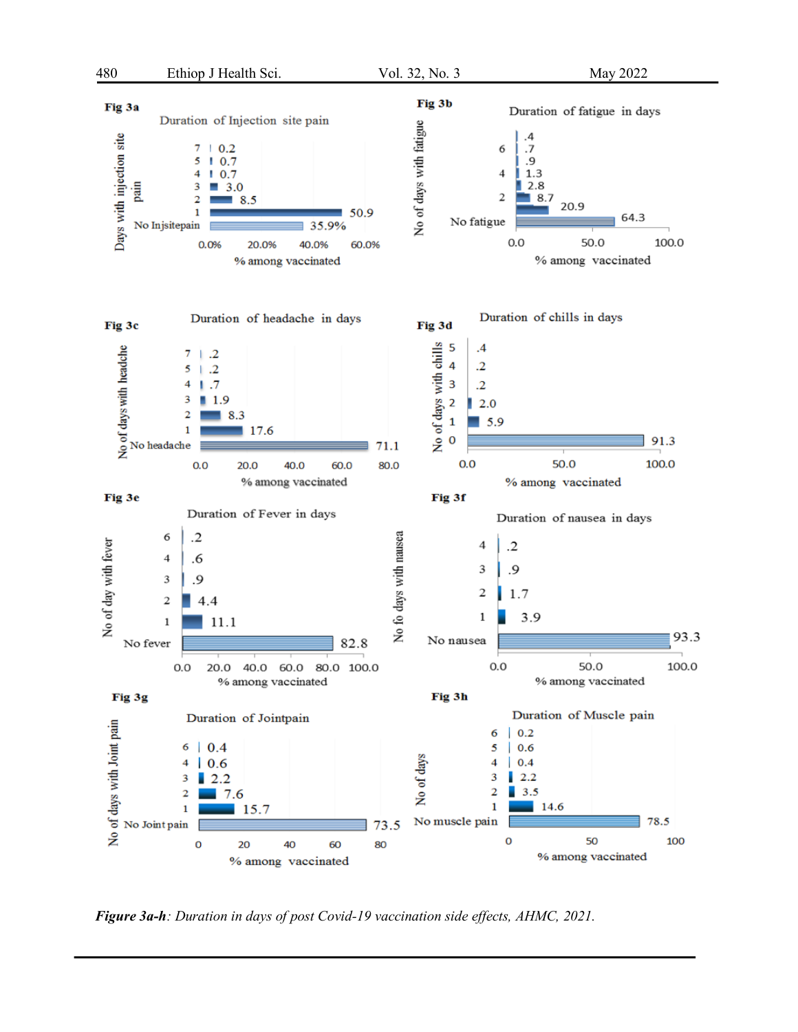

*Figure 3a-h: Duration in days of post Covid-19 vaccination side effects, AHMC, 2021.*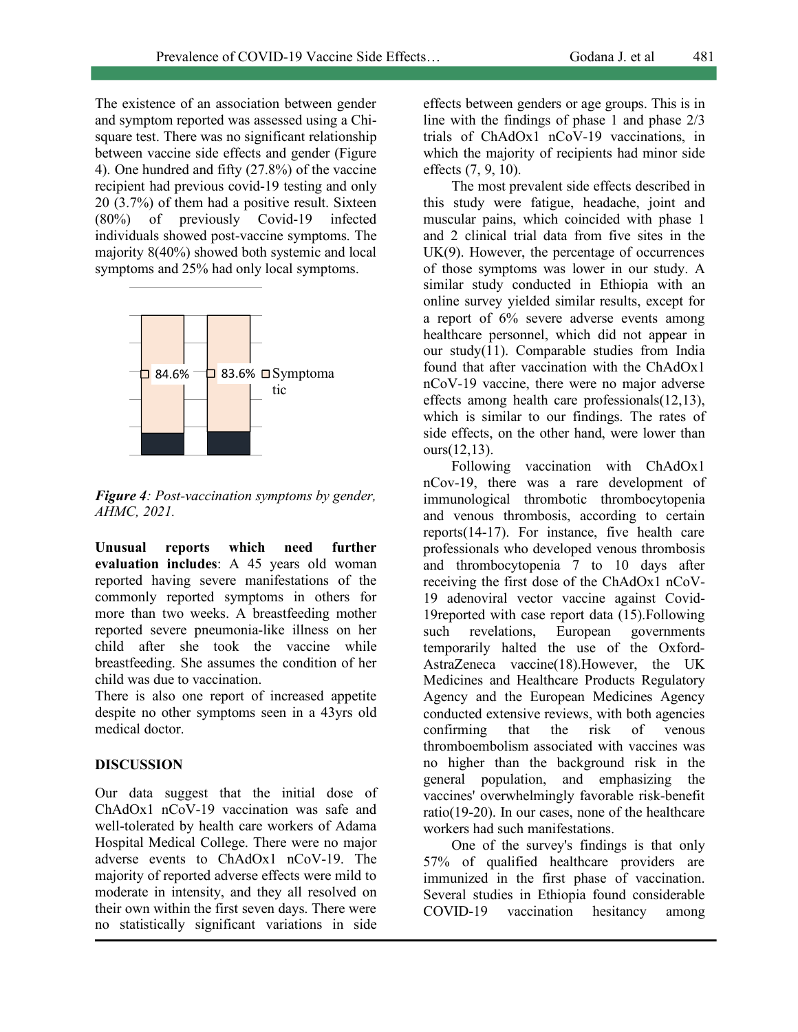The existence of an association between gender and symptom reported was assessed using a Chisquare test. There was no significant relationship between vaccine side effects and gender (Figure 4). One hundred and fifty (27.8%) of the vaccine recipient had previous covid-19 testing and only 20 (3.7%) of them had a positive result. Sixteen (80%) of previously Covid-19 infected individuals showed post-vaccine symptoms. The majority 8(40%) showed both systemic and local symptoms and 25% had only local symptoms.



*Figure 4: Post-vaccination symptoms by gender, AHMC, 2021.*

**Unusual reports which need further evaluation includes**: A 45 years old woman reported having severe manifestations of the commonly reported symptoms in others for more than two weeks. A breastfeeding mother reported severe pneumonia-like illness on her child after she took the vaccine while breastfeeding. She assumes the condition of her child was due to vaccination.

There is also one report of increased appetite despite no other symptoms seen in a 43yrs old medical doctor.

### **DISCUSSION**

Our data suggest that the initial dose of ChAdOx1 nCoV-19 vaccination was safe and well-tolerated by health care workers of Adama Hospital Medical College. There were no major adverse events to ChAdOx1 nCoV-19. The majority of reported adverse effects were mild to moderate in intensity, and they all resolved on their own within the first seven days. There were no statistically significant variations in side

effects between genders or age groups. This is in line with the findings of phase 1 and phase 2/3 trials of ChAdOx1 nCoV-19 vaccinations, in which the majority of recipients had minor side effects (7, 9, 10).

The most prevalent side effects described in this study were fatigue, headache, joint and muscular pains, which coincided with phase 1 and 2 clinical trial data from five sites in the UK(9). However, the percentage of occurrences of those symptoms was lower in our study. A similar study conducted in Ethiopia with an online survey yielded similar results, except for a report of 6% severe adverse events among healthcare personnel, which did not appear in our study(11). Comparable studies from India found that after vaccination with the ChAdOx1 nCoV-19 vaccine, there were no major adverse effects among health care professionals(12,13), which is similar to our findings. The rates of side effects, on the other hand, were lower than ours(12,13).

Following vaccination with ChAdOx1 nCov-19, there was a rare development of immunological thrombotic thrombocytopenia and venous thrombosis, according to certain reports(14-17). For instance, five health care professionals who developed venous thrombosis and thrombocytopenia 7 to 10 days after receiving the first dose of the ChAdOx1 nCoV-19 adenoviral vector vaccine against Covid-19reported with case report data (15).Following such revelations, European governments temporarily halted the use of the Oxford-AstraZeneca vaccine(18).However, the UK Medicines and Healthcare Products Regulatory Agency and the European Medicines Agency conducted extensive reviews, with both agencies confirming that the risk of venous thromboembolism associated with vaccines was no higher than the background risk in the general population, and emphasizing the vaccines' overwhelmingly favorable risk-benefit ratio(19-20). In our cases, none of the healthcare workers had such manifestations.

One of the survey's findings is that only 57% of qualified healthcare providers are immunized in the first phase of vaccination. Several studies in Ethiopia found considerable COVID-19 vaccination hesitancy among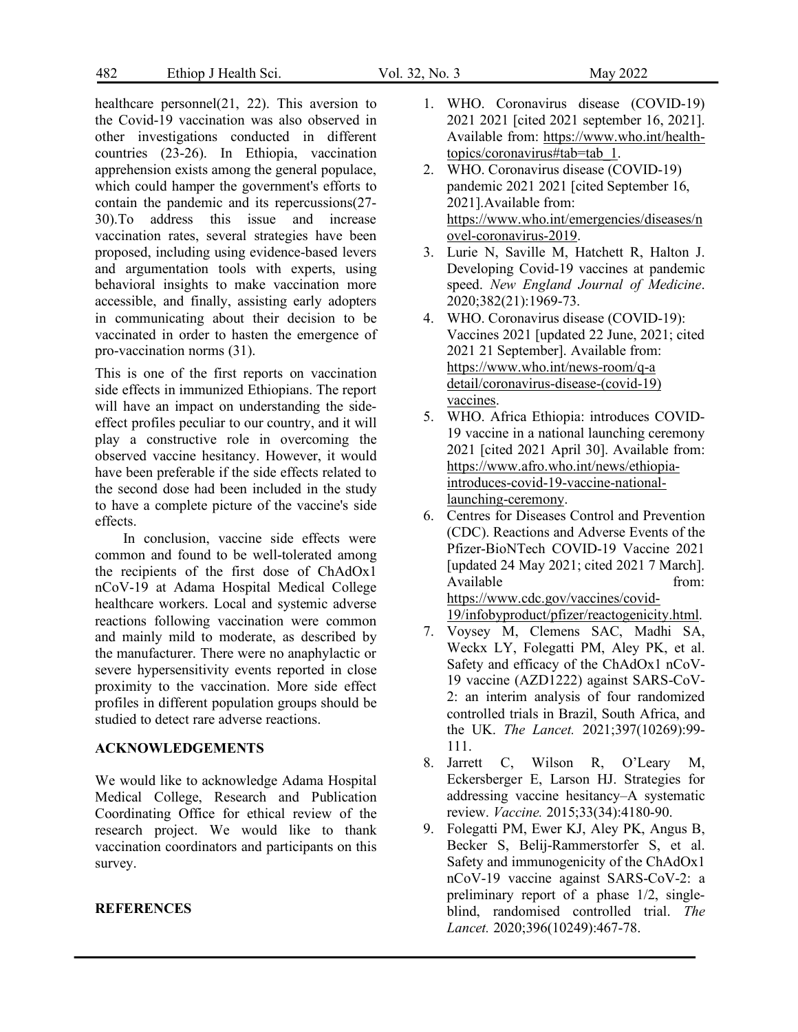482 Ethiop J Health Sci. Vol. 32, No. 3 May 2022

healthcare personnel(21, 22). This aversion to the Covid-19 vaccination was also observed in other investigations conducted in different countries (23-26). In Ethiopia, vaccination apprehension exists among the general populace, which could hamper the government's efforts to contain the pandemic and its repercussions(27- 30).To address this issue and increase vaccination rates, several strategies have been proposed, including using evidence-based levers and argumentation tools with experts, using behavioral insights to make vaccination more accessible, and finally, assisting early adopters in communicating about their decision to be vaccinated in order to hasten the emergence of pro-vaccination norms (31).

This is one of the first reports on vaccination side effects in immunized Ethiopians. The report will have an impact on understanding the sideeffect profiles peculiar to our country, and it will play a constructive role in overcoming the observed vaccine hesitancy. However, it would have been preferable if the side effects related to the second dose had been included in the study to have a complete picture of the vaccine's side effects.

In conclusion, vaccine side effects were common and found to be well-tolerated among the recipients of the first dose of ChAdOx1 nCoV-19 at Adama Hospital Medical College healthcare workers. Local and systemic adverse reactions following vaccination were common and mainly mild to moderate, as described by the manufacturer. There were no anaphylactic or severe hypersensitivity events reported in close proximity to the vaccination. More side effect profiles in different population groups should be studied to detect rare adverse reactions.

### **ACKNOWLEDGEMENTS**

We would like to acknowledge Adama Hospital Medical College, Research and Publication Coordinating Office for ethical review of the research project. We would like to thank vaccination coordinators and participants on this survey.

### **REFERENCES**

- 2. WHO. Coronavirus disease (COVID-19) pandemic 2021 2021 [cited September 16, 2021].Available from: https://www.who.int/emergencies/diseases/n ovel-coronavirus-2019.
- 3. Lurie N, Saville M, Hatchett R, Halton J. Developing Covid-19 vaccines at pandemic speed. *New England Journal of Medicine*. 2020;382(21):1969-73.
- 4. WHO. Coronavirus disease (COVID-19): Vaccines 2021 [updated 22 June, 2021; cited 2021 21 September]. Available from: https://www.who.int/news-room/q-a detail/coronavirus-disease-(covid-19) vaccines.
- 5. WHO. Africa Ethiopia: introduces COVID-19 vaccine in a national launching ceremony 2021 [cited 2021 April 30]. Available from: https://www.afro.who.int/news/ethiopiaintroduces-covid-19-vaccine-nationallaunching-ceremony.
- 6. Centres for Diseases Control and Prevention (CDC). Reactions and Adverse Events of the Pfizer-BioNTech COVID-19 Vaccine 2021 [updated 24 May 2021; cited 2021 7 March]. Available from: https://www.cdc.gov/vaccines/covid-19/infobyproduct/pfizer/reactogenicity.html.
- 7. Voysey M, Clemens SAC, Madhi SA, Weckx LY, Folegatti PM, Aley PK, et al. Safety and efficacy of the ChAdOx1 nCoV-19 vaccine (AZD1222) against SARS-CoV-2: an interim analysis of four randomized controlled trials in Brazil, South Africa, and the UK. *The Lancet.* 2021;397(10269):99- 111.
- 8. Jarrett C, Wilson R, O'Leary M, Eckersberger E, Larson HJ. Strategies for addressing vaccine hesitancy–A systematic review. *Vaccine.* 2015;33(34):4180-90.
- 9. Folegatti PM, Ewer KJ, Aley PK, Angus B, Becker S, Belij-Rammerstorfer S, et al. Safety and immunogenicity of the ChAdOx1 nCoV-19 vaccine against SARS-CoV-2: a preliminary report of a phase 1/2, singleblind, randomised controlled trial. *The Lancet.* 2020;396(10249):467-78.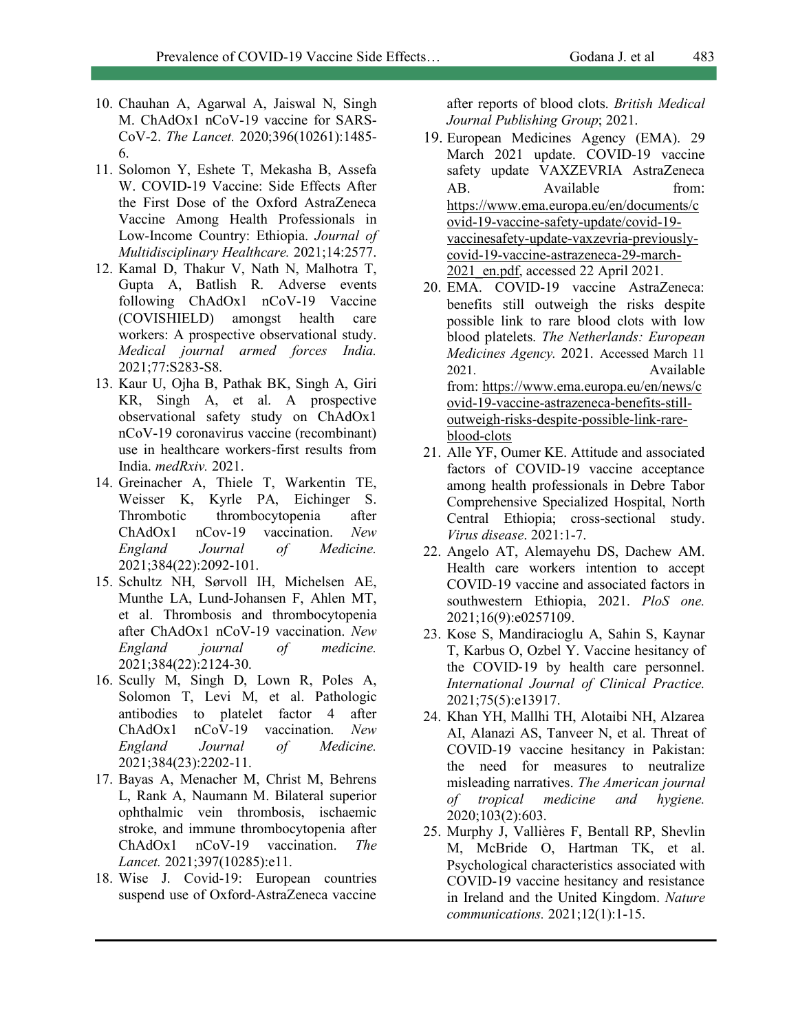- 10. Chauhan A, Agarwal A, Jaiswal N, Singh M. ChAdOx1 nCoV-19 vaccine for SARS-CoV-2. *The Lancet.* 2020;396(10261):1485- 6.
- 11. Solomon Y, Eshete T, Mekasha B, Assefa W. COVID-19 Vaccine: Side Effects After the First Dose of the Oxford AstraZeneca Vaccine Among Health Professionals in Low-Income Country: Ethiopia. *Journal of Multidisciplinary Healthcare.* 2021;14:2577.
- 12. Kamal D, Thakur V, Nath N, Malhotra T, Gupta A, Batlish R. Adverse events following ChAdOx1 nCoV-19 Vaccine (COVISHIELD) amongst health care workers: A prospective observational study. *Medical journal armed forces India.* 2021;77:S283-S8.
- 13. Kaur U, Ojha B, Pathak BK, Singh A, Giri KR, Singh A, et al. A prospective observational safety study on ChAdOx1 nCoV-19 coronavirus vaccine (recombinant) use in healthcare workers-first results from India. *medRxiv.* 2021.
- 14. Greinacher A, Thiele T, Warkentin TE, Weisser K, Kyrle PA, Eichinger S. Thrombotic thrombocytopenia after ChAdOx1 nCov-19 vaccination. *New England Journal of Medicine.* 2021;384(22):2092-101.
- 15. Schultz NH, Sørvoll IH, Michelsen AE, Munthe LA, Lund-Johansen F, Ahlen MT, et al. Thrombosis and thrombocytopenia after ChAdOx1 nCoV-19 vaccination. *New England journal of medicine.*  2021;384(22):2124-30.
- 16. Scully M, Singh D, Lown R, Poles A, Solomon T, Levi M, et al. Pathologic antibodies to platelet factor 4 after ChAdOx1 nCoV-19 vaccination. *New England Journal of Medicine.*  2021;384(23):2202-11.
- 17. Bayas A, Menacher M, Christ M, Behrens L, Rank A, Naumann M. Bilateral superior ophthalmic vein thrombosis, ischaemic stroke, and immune thrombocytopenia after ChAdOx1 nCoV-19 vaccination. *The Lancet.* 2021;397(10285):e11.
- 18. Wise J. Covid-19: European countries suspend use of Oxford-AstraZeneca vaccine

after reports of blood clots. *British Medical Journal Publishing Group*; 2021.

- 19. European Medicines Agency (EMA). 29 March 2021 update. COVID-19 vaccine safety update VAXZEVRIA AstraZeneca AB. Available from: https://www.ema.europa.eu/en/documents/c ovid-19-vaccine-safety-update/covid-19 vaccinesafety-update-vaxzevria-previouslycovid-19-vaccine-astrazeneca-29-march-2021\_en.pdf, accessed 22 April 2021.
- 20. EMA. COVID-19 vaccine AstraZeneca: benefits still outweigh the risks despite possible link to rare blood clots with low blood platelets. *The Netherlands: European Medicines Agency.* 2021. Accessed March 11 2021. Available from: https://www.ema.europa.eu/en/news/c ovid-19-vaccine-astrazeneca-benefits-stilloutweigh-risks-despite-possible-link-rareblood-clots
- 21. Alle YF, Oumer KE. Attitude and associated factors of COVID-19 vaccine acceptance among health professionals in Debre Tabor Comprehensive Specialized Hospital, North Central Ethiopia; cross-sectional study. *Virus disease*. 2021:1-7.
- 22. Angelo AT, Alemayehu DS, Dachew AM. Health care workers intention to accept COVID-19 vaccine and associated factors in southwestern Ethiopia, 2021. *PloS one.*  2021;16(9):e0257109.
- 23. Kose S, Mandiracioglu A, Sahin S, Kaynar T, Karbus O, Ozbel Y. Vaccine hesitancy of the COVID-19 by health care personnel. *International Journal of Clinical Practice.*  2021;75(5):e13917.
- 24. Khan YH, Mallhi TH, Alotaibi NH, Alzarea AI, Alanazi AS, Tanveer N, et al. Threat of COVID-19 vaccine hesitancy in Pakistan: the need for measures to neutralize misleading narratives. *The American journal of tropical medicine and hygiene.*  2020;103(2):603.
- 25. Murphy J, Vallières F, Bentall RP, Shevlin M, McBride O, Hartman TK, et al. Psychological characteristics associated with COVID-19 vaccine hesitancy and resistance in Ireland and the United Kingdom. *Nature communications.* 2021;12(1):1-15.